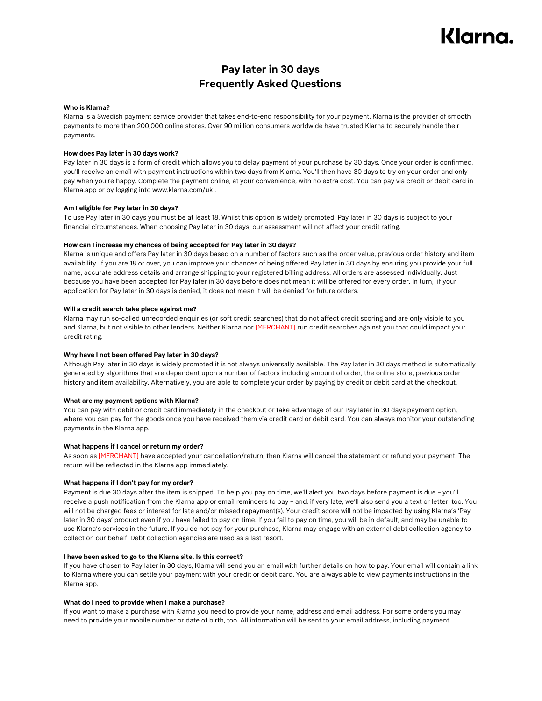# Klarna.

# **Pay later in 30 days Frequently Asked Questions**

## **Who is Klarna?**

Klarna is a Swedish payment service provider that takes end-to-end responsibility for your payment. Klarna is the provider of smooth payments to more than 200,000 online stores. Over 90 million consumers worldwide have trusted Klarna to securely handle their payments.

# **How does Pay later in 30 days work?**

Pay later in 30 days is a form of credit which allows you to delay payment of your purchase by 30 days. Once your order is confirmed, you'll receive an email with payment instructions within two days from Klarna. You'll then have 30 days to try on your order and only pay when you're happy. Complete the payment online, at your convenience, with no extra cost. You can pay via credit or debit card in Klarna.app or by logging into www.klarna.com/uk .

# **Am I eligible for Pay later in 30 days?**

To use Pay later in 30 days you must be at least 18. Whilst this option is widely promoted, Pay later in 30 days is subject to your financial circumstances. When choosing Pay later in 30 days, our assessment will not affect your credit rating.

# **How can I increase my chances of being accepted for Pay later in 30 days?**

Klarna is unique and offers Pay later in 30 days based on a number of factors such as the order value, previous order history and item availability. If you are 18 or over, you can improve your chances of being offered Pay later in 30 days by ensuring you provide your full name, accurate address details and arrange shipping to your registered billing address. All orders are assessed individually. Just because you have been accepted for Pay later in 30 days before does not mean it will be offered for every order. In turn, if your application for Pay later in 30 days is denied, it does not mean it will be denied for future orders.

# **Will a credit search take place against me?**

Klarna may run so-called unrecorded enquiries (or soft credit searches) that do not affect credit scoring and are only visible to you and Klarna, but not visible to other lenders. Neither Klarna nor [MERCHANT] run credit searches against you that could impact your credit rating.

# **Why have I not been offered Pay later in 30 days?**

Although Pay later in 30 days is widely promoted it is not always universally available. The Pay later in 30 days method is automatically generated by algorithms that are dependent upon a number of factors including amount of order, the online store, previous order history and item availability. Alternatively, you are able to complete your order by paying by credit or debit card at the checkout.

## **What are my payment options with Klarna?**

You can pay with debit or credit card immediately in the checkout or take advantage of our Pay later in 30 days payment option, where you can pay for the goods once you have received them via credit card or debit card. You can always monitor your outstanding payments in the Klarna app.

# **What happens if I cancel or return my order?**

As soon as [MERCHANT] have accepted your cancellation/return, then Klarna will cancel the statement or refund your payment. The return will be reflected in the Klarna app immediately.

## **What happens if I don't pay for my order?**

Payment is due 30 days after the item is shipped. To help you pay on time, we'll alert you two days before payment is due – you'll receive a push notification from the Klarna app or email reminders to pay – and, if very late, we'll also send you a text or letter, too. You will not be charged fees or interest for late and/or missed repayment(s). Your credit score will not be impacted by using Klarna's 'Pay later in 30 days' product even if you have failed to pay on time. If you fail to pay on time, you will be in default, and may be unable to use Klarna's services in the future. If you do not pay for your purchase, Klarna may engage with an external debt collection agency to collect on our behalf. Debt collection agencies are used as a last resort.

## **I have been asked to go to the Klarna site. Is this correct?**

If you have chosen to Pay later in 30 days, Klarna will send you an email with further details on how to pay. Your email will contain a link to Klarna where you can settle your payment with your credit or debit card. You are always able to view payments instructions in the Klarna app.

## **What do I need to provide when I make a purchase?**

If you want to make a purchase with Klarna you need to provide your name, address and email address. For some orders you may need to provide your mobile number or date of birth, too. All information will be sent to your email address, including payment